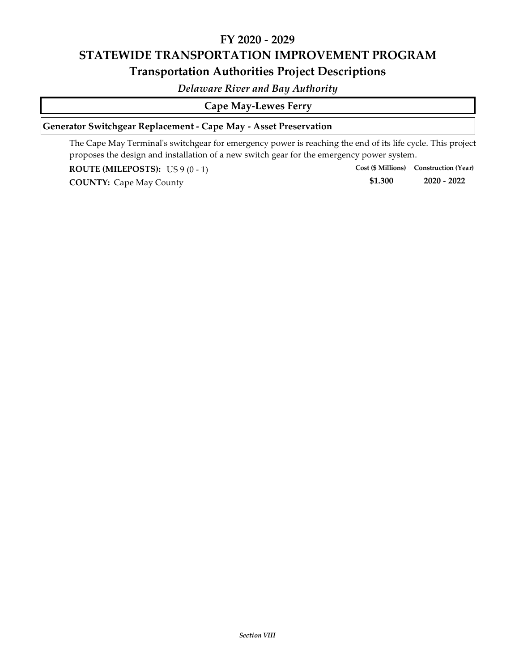# **FY 2020 ‐ 2029 STATEWIDE TRANSPORTATION IMPROVEMENT PROGRAM Transportation Authorities Project Descriptions**

*Delaware River and Bay Authority*

### **Cape May‐Lewes Ferry**

## **Generator Switchgear Replacement ‐ Cape May ‐ Asset Preservation**

The Cape May Terminal's switchgear for emergency power is reaching the end of its life cycle. This project proposes the design and installation of a new switch gear for the emergency power system.

**ROUTE (MILEPOSTS):** US 9 (0 ‐ 1)

**\$1.300 COUNTY:** Cape May County **1.300 1.300 2020** - 2022 **Cost (\$ Millions) Construction (Year)**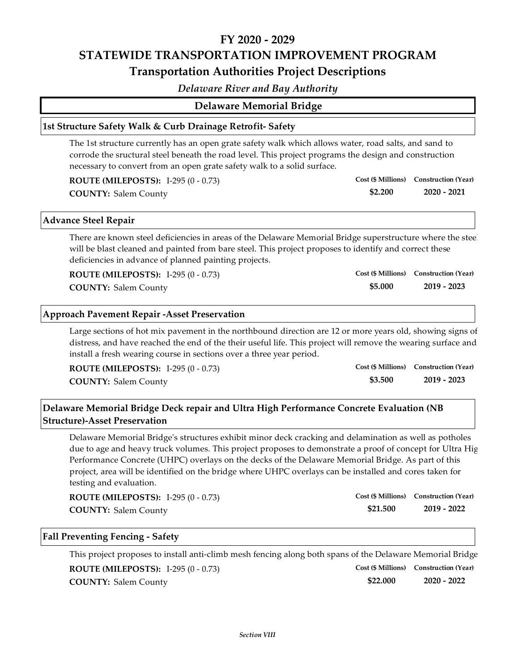# **FY 2020 ‐ 2029 STATEWIDE TRANSPORTATION IMPROVEMENT PROGRAM Transportation Authorities Project Descriptions**

*Delaware River and Bay Authority*

### **Delaware Memorial Bridge**

#### **1st Structure Safety Walk & Curb Drainage Retrofit‐ Safety**

The 1st structure currently has an open grate safety walk which allows water, road salts, and sand to corrode the sructural steel beneath the road level. This project programs the design and construction necessary to convert from an open grate safety walk to a solid surface.

| <b>ROUTE (MILEPOSTS):</b> I-295 $(0 - 0.73)$ |         | Cost (\$ Millions) Construction (Year) |
|----------------------------------------------|---------|----------------------------------------|
| <b>COUNTY: Salem County</b>                  | \$2.200 | 2020 - 2021                            |

#### **Advance Steel Repair**

There are known steel deficiencies in areas of the Delaware Memorial Bridge superstructure where the steel will be blast cleaned and painted from bare steel. This project proposes to identify and correct these deficiencies in advance of planned painting projects.

**\$5.000**

**Cost (\$ Millions) Construction (Year)**

**ROUTE (MILEPOSTS):** I‐295 (0 ‐ 0.73)

**COUNTY: 2019 ‐ 2023** Salem County

### **Approach Pavement Repair ‐Asset Preservation**

Large sections of hot mix pavement in the northbound direction are 12 or more years old, showing signs of distress, and have reached the end of the their useful life. This project will remove the wearing surface and install a fresh wearing course in sections over a three year period.

| <b>ROUTE (MILEPOSTS):</b> I-295 $(0 - 0.73)$ |         | Cost (\$ Millions) Construction (Year) |
|----------------------------------------------|---------|----------------------------------------|
| <b>COUNTY: Salem County</b>                  | \$3.500 | 2019 - 2023                            |

## **Delaware Memorial Bridge Deck repair and Ultra High Performance Concrete Evaluation (NB Structure)‐Asset Preservation**

Delaware Memorial Bridgeʹs structures exhibit minor deck cracking and delamination as well as potholes due to age and heavy truck volumes. This project proposes to demonstrate a proof of concept for Ultra Hig Performance Concrete (UHPC) overlays on the decks of the Delaware Memorial Bridge. As part of this project, area will be identified on the bridge where UHPC overlays can be installed and cores taken for testing and evaluation.

| <b>ROUTE (MILEPOSTS):</b> I-295 $(0 - 0.73)$ |          | Cost (\$ Millions) Construction (Year) |
|----------------------------------------------|----------|----------------------------------------|
| <b>COUNTY: Salem County</b>                  | \$21.500 | 2019 - 2022                            |

#### **Fall Preventing Fencing ‐ Safety**

This project proposes to install anti‐climb mesh fencing along both spans of the Delaware Memorial Bridge **\$22.000 COUNTY: 2020 ‐ 2022** Salem County **ROUTE (MILEPOSTS):** I‐295 (0 ‐ 0.73) **Cost (\$ Millions) Construction (Year)**